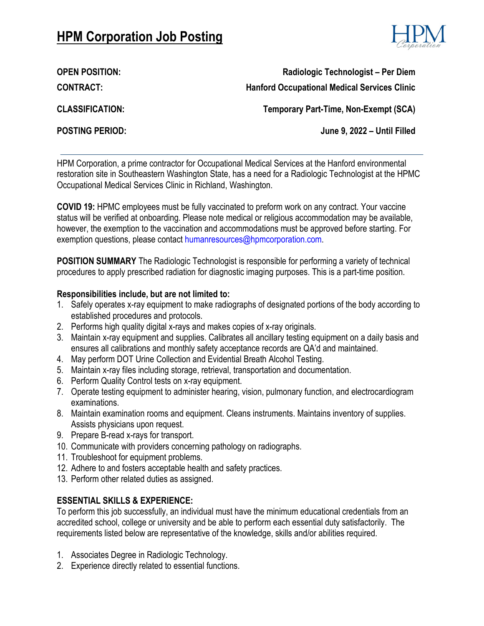## **HPM Corporation Job Posting**



**CONTRACT:**

**OPEN POSITION: Radiologic Technologist – Per Diem Hanford Occupational Medical Services Clinic**

**CLASSIFICATION:**

**Temporary Part-Time, Non-Exempt (SCA)**

**POSTING PERIOD: June 9, 2022 – Until Filled**

HPM Corporation, a prime contractor for Occupational Medical Services at the Hanford environmental restoration site in Southeastern Washington State, has a need for a Radiologic Technologist at the HPMC Occupational Medical Services Clinic in Richland, Washington.

**COVID 19:** HPMC employees must be fully vaccinated to preform work on any contract. Your vaccine status will be verified at onboarding. Please note medical or religious accommodation may be available, however, the exemption to the vaccination and accommodations must be approved before starting. For exemption questions, please contact humanresources@hpmcorporation.com.

**POSITION SUMMARY** The Radiologic Technologist is responsible for performing a variety of technical procedures to apply prescribed radiation for diagnostic imaging purposes. This is a part-time position.

## **Responsibilities include, but are not limited to:**

- 1. Safely operates x-ray equipment to make radiographs of designated portions of the body according to established procedures and protocols.
- 2. Performs high quality digital x-rays and makes copies of x-ray originals.
- 3. Maintain x-ray equipment and supplies. Calibrates all ancillary testing equipment on a daily basis and ensures all calibrations and monthly safety acceptance records are QA'd and maintained.
- 4. May perform DOT Urine Collection and Evidential Breath Alcohol Testing.
- 5. Maintain x-ray files including storage, retrieval, transportation and documentation.
- 6. Perform Quality Control tests on x-ray equipment.
- 7. Operate testing equipment to administer hearing, vision, pulmonary function, and electrocardiogram examinations.
- 8. Maintain examination rooms and equipment. Cleans instruments. Maintains inventory of supplies. Assists physicians upon request.
- 9. Prepare B-read x-rays for transport.
- 10. Communicate with providers concerning pathology on radiographs.
- 11. Troubleshoot for equipment problems.
- 12. Adhere to and fosters acceptable health and safety practices.
- 13. Perform other related duties as assigned.

## **ESSENTIAL SKILLS & EXPERIENCE:**

To perform this job successfully, an individual must have the minimum educational credentials from an accredited school, college or university and be able to perform each essential duty satisfactorily. The requirements listed below are representative of the knowledge, skills and/or abilities required.

- 1. Associates Degree in Radiologic Technology.
- 2. Experience directly related to essential functions.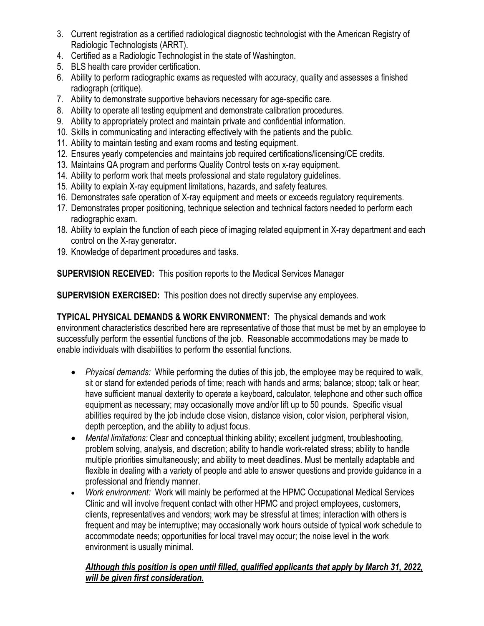- 3. Current registration as a certified radiological diagnostic technologist with the American Registry of Radiologic Technologists (ARRT).
- 4. Certified as a Radiologic Technologist in the state of Washington.
- 5. BLS health care provider certification.
- 6. Ability to perform radiographic exams as requested with accuracy, quality and assesses a finished radiograph (critique).
- 7. Ability to demonstrate supportive behaviors necessary for age-specific care.
- 8. Ability to operate all testing equipment and demonstrate calibration procedures.
- 9. Ability to appropriately protect and maintain private and confidential information.
- 10. Skills in communicating and interacting effectively with the patients and the public.
- 11. Ability to maintain testing and exam rooms and testing equipment.
- 12. Ensures yearly competencies and maintains job required certifications/licensing/CE credits.
- 13. Maintains QA program and performs Quality Control tests on x-ray equipment.
- 14. Ability to perform work that meets professional and state regulatory guidelines.
- 15. Ability to explain X-ray equipment limitations, hazards, and safety features.
- 16. Demonstrates safe operation of X-ray equipment and meets or exceeds regulatory requirements.
- 17. Demonstrates proper positioning, technique selection and technical factors needed to perform each radiographic exam.
- 18. Ability to explain the function of each piece of imaging related equipment in X-ray department and each control on the X-ray generator.
- 19. Knowledge of department procedures and tasks.

**SUPERVISION RECEIVED:** This position reports to the Medical Services Manager

**SUPERVISION EXERCISED:** This position does not directly supervise any employees.

**TYPICAL PHYSICAL DEMANDS & WORK ENVIRONMENT:** The physical demands and work environment characteristics described here are representative of those that must be met by an employee to successfully perform the essential functions of the job. Reasonable accommodations may be made to enable individuals with disabilities to perform the essential functions.

- *Physical demands:* While performing the duties of this job, the employee may be required to walk, sit or stand for extended periods of time; reach with hands and arms; balance; stoop; talk or hear; have sufficient manual dexterity to operate a keyboard, calculator, telephone and other such office equipment as necessary; may occasionally move and/or lift up to 50 pounds. Specific visual abilities required by the job include close vision, distance vision, color vision, peripheral vision, depth perception, and the ability to adjust focus.
- *Mental limitations:* Clear and conceptual thinking ability; excellent judgment, troubleshooting, problem solving, analysis, and discretion; ability to handle work-related stress; ability to handle multiple priorities simultaneously; and ability to meet deadlines. Must be mentally adaptable and flexible in dealing with a variety of people and able to answer questions and provide guidance in a professional and friendly manner.
- *Work environment:* Work will mainly be performed at the HPMC Occupational Medical Services Clinic and will involve frequent contact with other HPMC and project employees, customers, clients, representatives and vendors; work may be stressful at times; interaction with others is frequent and may be interruptive; may occasionally work hours outside of typical work schedule to accommodate needs; opportunities for local travel may occur; the noise level in the work environment is usually minimal.

## *Although this position is open until filled, qualified applicants that apply by March 31, 2022, will be given first consideration.*